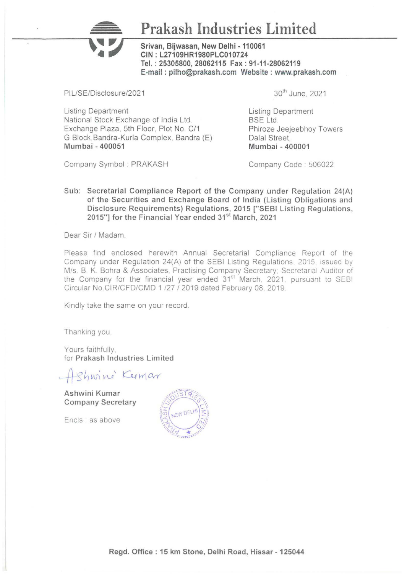## Prakash Industries Limited

Srivan, Bijwasan, New Delhi -110061 CIN: L27109HR1980PLC010724 Tel.: 25305800, 28062115 Fax : 91-11-28062119 E-mail : pilho@prakash.com Website : www.prakash.com

PIL/SE/Disclosure/2021

Listing Department National Stock Exchange of India Ltd. Exchange Plaza. 5th Floor, Plot No. C/1 G Block,Bandra-Kurla Complex, Bandra (E) Mumbai - 400051

30th June. 2021

Listing Department BSE Ltd. Phiroze Jeejeebhoy Towers Dalal Street Mumbai - 400001

Company Symbol : PRAKASH

Company Code · 506022

Sub: Secretarial Compliance Report of the Company under Regulation 24(A) of the Securities and Exchange Board of India (Listing Obligations and Disclosure Requirements) Regulations, 2015 ["SEBI Listing Regulations, 2015"] for the Financial Year ended 31<sup>st</sup> March, 2021

Dear Sir / Madam,

Please find enclosed herewith Annual Secretarial Compliance Report of the Company under Regulation 24(A) of the SEBI Listing Regulations. 2015. issued by M/s. B. K. Bohra & Associates. Practising Company Secretary; Secretarial Auditor of the Company for the financial year ended 31<sup>st</sup> March, 2021, pursuant to SEBI Circular No CIR/CFD/CMD 1 /27 I 2019 dated February 08. 2019

Kindly take the same on your record.

Thanking you

Yours faithfully. for Prakash Industries Limited

Shwine Keemar

Ashwini Kumar Company Secretary

Encls : as above

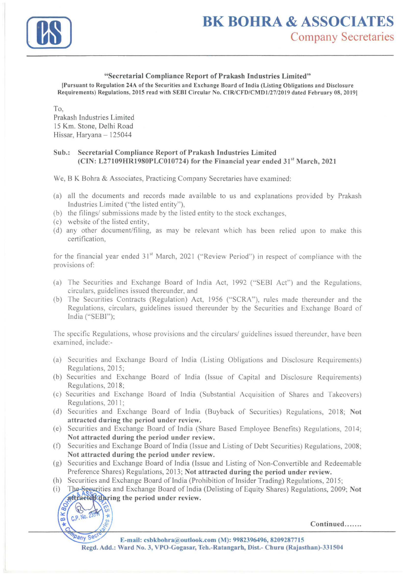

## "Secretarial Compliance Report of Prakash Industries Limited"

!Pursuant to Regulation 24A of the Securities and Exchange Board of India (Listing Obligations and Disclosure Requirements) Regulations, 2015 read with SEBI Circular No. CIR/CFD/CMDl/27/2019 dated February 08, 20191

To,

Prakash Industries Limited 15 Km. Stone, Delhi Road Hissar, Haryana - 125044

## Sub.: Secretarial Compliance Report of Prakash Industries Limited  $(CIN: L27109HR1980PLC010724)$  for the Financial year ended  $31<sup>st</sup>$  March, 2021

We, B K Bohra & Associates, Practicing Company Secretaries have examined:

- (a) all the documents and records made available to us and explanations provided by Prakash Industries Limited ("the listed entity"),
- (b) the filings/ submissions made by the listed entity to the stock exchanges,
- (c) website of the listed entity,
- (d) any other document/filing, as may be relevant which has been relied upon to make this certification,

for the financial year ended 31<sup>st</sup> March, 2021 ("Review Period") in respect of compliance with the provisions of:

- (a) The Securities and Exchange Board of India Act, 1992 ("SEBI Act") and the Regulations, circulars, guidelines issued thereunder, and
- (b) The Securities Contracts (Regulation) Act, 1956 ("SCRA"), rules made thereunder and the Regulations, circulars, guidelines issued thereunder by the Securities and Exchange Board of India ("SEBI");

The specific Regulations, whose provisions and the circulars/ guidelines issued thereunder, have been examined, include:-

- (a) Securities and Exchange Board of India (Listing Obligations and Disclosure Requirements) Regulations, 2015;
- (b) Securities and Exchange Board of India (Issue of Capital and Disclosure Requirements) Regulations, 2018;
- (c) Securities and Exchange Board of India (Substantial Acquisition of Shares and Takeovers) Regulations, 2011;
- (d) Securities and Exchange Board of India (Buyback of Securities) Regulations, 2018; Not attracted during the period under review.
- (e) Securities and Exchange Board of India (Share Based Employee Benefits) Regulations, 2014; Not attracted during the period under review.
- (f) Securities and Exchange Board of India (Issue and Listing of Debt Securities) Regulations, 2008; Not attracted during the period under review.
- (g) Securities and Exchange Board of India (Issue and Listing of Non-Convertible and Redeemable Preference Shares) Regulations, 2013; Not attracted during the period under review.
- (h) Securities and Exchange Board of India (Prohibition of Insider Trading) Regulations, 2015;
- (i) The Seeurities and Exchange Board of India (Delisting of Equity Shares) Regulations, 2009; Not attracter during the period under review.

 $\sqrt{2}$  $\sum_{\text{CD}}$  C.P. No. 23544  $\sum_{n=1}^{\infty}$  C.P. No. 2354  $\left(\sum_{n=1}^{\infty}$  /  $\right)$  /  $\left(\sum_{n=1}^{\infty}$  /  $\right)$  /  $\left(\sum_{n=1}^{\infty}$  /  $\right)$  /  $\left(\sum_{n=1}^{\infty}$  /  $\right)$  /  $\left(\sum_{n=1}^{\infty}$  /  $\right)$  /  $\left(\sum_{n=1}^{\infty}$  /  $\right)$  /  $\left(\sum_{n=1}^{\infty}$  /  $\right)$  /  $\left$ 

 $m_{p_{\text{Sny}}}$  Sec. E-mail: csbkbohra@outlook.com (M): 9982396496, 8209287715 Regd. Add.: Ward No. 3, VPO-Gogasar, Teh.-Rataogarh, Dist.- Churu (Rajasthan)-331504